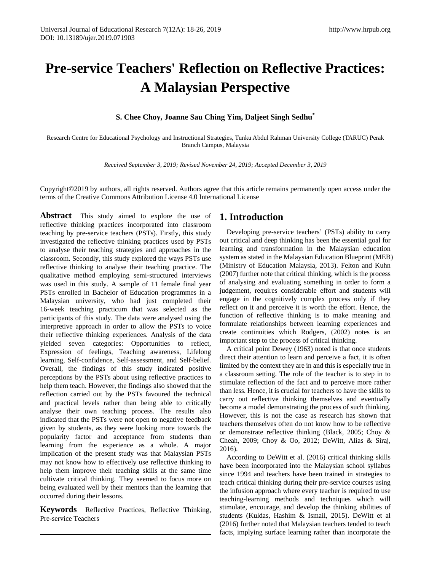# **Pre-service Teachers' Reflection on Reflective Practices: A Malaysian Perspective**

**S. Chee Choy, Joanne Sau Ching Yim, Daljeet Singh Sedhu\*** 

Research Centre for Educational Psychology and Instructional Strategies, Tunku Abdul Rahman University College (TARUC) Perak Branch Campus, Malaysia

*Received September 3, 2019; Revised November 24, 2019; Accepted December 3, 2019*

Copyright©2019 by authors, all rights reserved. Authors agree that this article remains permanently open access under the terms of the Creative Commons Attribution License 4.0 International License

**Abstract** This study aimed to explore the use of reflective thinking practices incorporated into classroom teaching by pre-service teachers (PSTs). Firstly, this study investigated the reflective thinking practices used by PSTs to analyse their teaching strategies and approaches in the classroom. Secondly, this study explored the ways PSTs use reflective thinking to analyse their teaching practice. The qualitative method employing semi-structured interviews was used in this study. A sample of 11 female final year PSTs enrolled in Bachelor of Education programmes in a Malaysian university, who had just completed their 16-week teaching practicum that was selected as the participants of this study. The data were analysed using the interpretive approach in order to allow the PSTs to voice their reflective thinking experiences. Analysis of the data yielded seven categories: Opportunities to reflect, Expression of feelings, Teaching awareness, Lifelong learning, Self-confidence, Self-assessment, and Self-belief. Overall, the findings of this study indicated positive perceptions by the PSTs about using reflective practices to help them teach. However, the findings also showed that the reflection carried out by the PSTs favoured the technical and practical levels rather than being able to critically analyse their own teaching process. The results also indicated that the PSTs were not open to negative feedback given by students, as they were looking more towards the popularity factor and acceptance from students than learning from the experience as a whole. A major implication of the present study was that Malaysian PSTs may not know how to effectively use reflective thinking to help them improve their teaching skills at the same time cultivate critical thinking. They seemed to focus more on being evaluated well by their mentors than the learning that occurred during their lessons.

**Keywords** Reflective Practices, Reflective Thinking, Pre-service Teachers

# **1. Introduction**

Developing pre-service teachers' (PSTs) ability to carry out critical and deep thinking has been the essential goal for learning and transformation in the Malaysian education system as stated in the Malaysian Education Blueprint (MEB) (Ministry of Education Malaysia, 2013). Felton and Kuhn (2007) further note that critical thinking, which is the process of analysing and evaluating something in order to form a judgement, requires considerable effort and students will engage in the cognitively complex process only if they reflect on it and perceive it is worth the effort. Hence, the function of reflective thinking is to make meaning and formulate relationships between learning experiences and create continuities which Rodgers, (2002) notes is an important step to the process of critical thinking.

A critical point Dewey (1963) noted is that once students direct their attention to learn and perceive a fact, it is often limited by the context they are in and this is especially true in a classroom setting. The role of the teacher is to step in to stimulate reflection of the fact and to perceive more rather than less. Hence, it is crucial for teachers to have the skills to carry out reflective thinking themselves and eventually become a model demonstrating the process of such thinking. However, this is not the case as research has shown that teachers themselves often do not know how to be reflective or demonstrate reflective thinking (Black, 2005; Choy & Cheah, 2009; Choy & Oo, 2012; DeWitt, Alias & Siraj, 2016).

According to DeWitt et al. (2016) critical thinking skills have been incorporated into the Malaysian school syllabus since 1994 and teachers have been trained in strategies to teach critical thinking during their pre-service courses using the infusion approach where every teacher is required to use teaching-learning methods and techniques which will stimulate, encourage, and develop the thinking abilities of students (Kuldas, Hashim & Ismail, 2015). DeWitt et al (2016) further noted that Malaysian teachers tended to teach facts, implying surface learning rather than incorporate the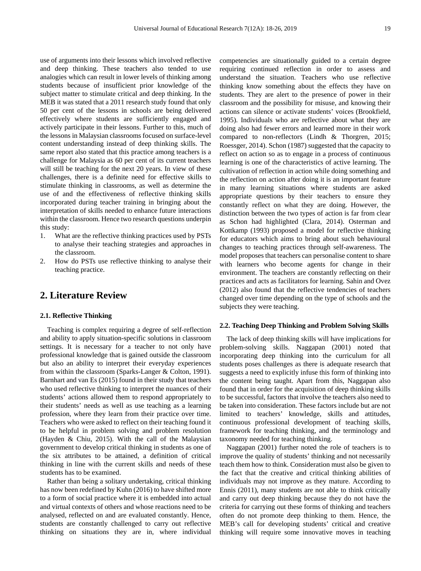use of arguments into their lessons which involved reflective and deep thinking. These teachers also tended to use analogies which can result in lower levels of thinking among students because of insufficient prior knowledge of the subject matter to stimulate critical and deep thinking. In the MEB it was stated that a 2011 research study found that only 50 per cent of the lessons in schools are being delivered effectively where students are sufficiently engaged and actively participate in their lessons. Further to this, much of the lessons in Malaysian classrooms focused on surface-level content understanding instead of deep thinking skills. The same report also stated that this practice among teachers is a challenge for Malaysia as 60 per cent of its current teachers will still be teaching for the next 20 years. In view of these challenges, there is a definite need for effective skills to stimulate thinking in classrooms, as well as determine the use of and the effectiveness of reflective thinking skills incorporated during teacher training in bringing about the interpretation of skills needed to enhance future interactions within the classroom. Hence two research questions underpin this study:

- 1. What are the reflective thinking practices used by PSTs to analyse their teaching strategies and approaches in the classroom.
- 2. How do PSTs use reflective thinking to analyse their teaching practice.

# **2. Literature Review**

#### **2.1. Reflective Thinking**

Teaching is complex requiring a degree of self-reflection and ability to apply situation-specific solutions in classroom settings. It is necessary for a teacher to not only have professional knowledge that is gained outside the classroom but also an ability to interpret their everyday experiences from within the classroom (Sparks-Langer & Colton, 1991). Barnhart and van Es (2015) found in their study that teachers who used reflective thinking to interpret the nuances of their students' actions allowed them to respond appropriately to their students' needs as well as use teaching as a learning profession, where they learn from their practice over time. Teachers who were asked to reflect on their teaching found it to be helpful in problem solving and problem resolution (Hayden & Chiu, 2015). With the call of the Malaysian government to develop critical thinking in students as one of the six attributes to be attained, a definition of critical thinking in line with the current skills and needs of these students has to be examined.

Rather than being a solitary undertaking, critical thinking has now been redefined by Kuhn (2016) to have shifted more to a form of social practice where it is embedded into actual and virtual contexts of others and whose reactions need to be analysed, reflected on and are evaluated constantly. Hence, students are constantly challenged to carry out reflective thinking on situations they are in, where individual

competencies are situationally guided to a certain degree requiring continued reflection in order to assess and understand the situation. Teachers who use reflective thinking know something about the effects they have on students. They are alert to the presence of power in their classroom and the possibility for misuse, and knowing their actions can silence or activate students' voices (Brookfield, 1995). Individuals who are reflective about what they are doing also had fewer errors and learned more in their work compared to non-reflectors (Lindh & Thorgren, 2015; Roessger, 2014). Schon (1987) suggested that the capacity to reflect on action so as to engage in a process of continuous learning is one of the characteristics of active learning. The cultivation of reflection in action while doing something and the reflection on action after doing it is an important feature in many learning situations where students are asked appropriate questions by their teachers to ensure they constantly reflect on what they are doing. However, the distinction between the two types of action is far from clear as Schon had highlighted (Clara, 2014). Osterman and Kottkamp (1993) proposed a model for reflective thinking for educators which aims to bring about such behavioural changes to teaching practices through self-awareness. The model proposes that teachers can personalise content to share with learners who become agents for change in their environment. The teachers are constantly reflecting on their practices and acts as facilitators for learning. Sahin and Ovez (2012) also found that the reflective tendencies of teachers changed over time depending on the type of schools and the subjects they were teaching.

## **2.2. Teaching Deep Thinking and Problem Solving Skills**

The lack of deep thinking skills will have implications for problem-solving skills. Naggapan (2001) noted that incorporating deep thinking into the curriculum for all students poses challenges as there is adequate research that suggests a need to explicitly infuse this form of thinking into the content being taught. Apart from this, Naggapan also found that in order for the acquisition of deep thinking skills to be successful, factors that involve the teachers also need to be taken into consideration. These factors include but are not limited to teachers' knowledge, skills and attitudes, continuous professional development of teaching skills, framework for teaching thinking, and the terminology and taxonomy needed for teaching thinking.

Naggapan (2001) further noted the role of teachers is to improve the quality of students' thinking and not necessarily teach them how to think. Consideration must also be given to the fact that the creative and critical thinking abilities of individuals may not improve as they mature. According to Ennis (2011), many students are not able to think critically and carry out deep thinking because they do not have the criteria for carrying out these forms of thinking and teachers often do not promote deep thinking to them. Hence, the MEB's call for developing students' critical and creative thinking will require some innovative moves in teaching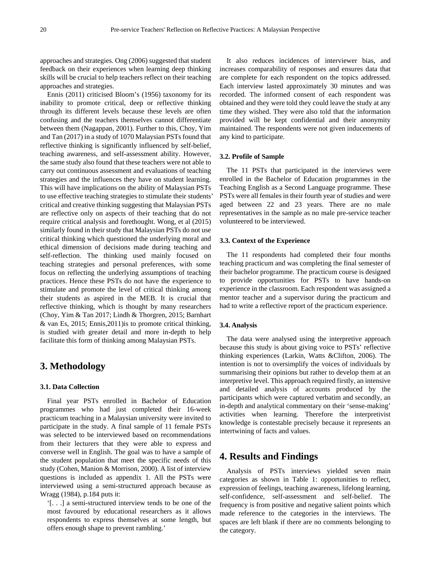approaches and strategies. Ong (2006) suggested that student feedback on their experiences when learning deep thinking skills will be crucial to help teachers reflect on their teaching approaches and strategies.

Ennis (2011) criticised Bloom's (1956) taxonomy for its inability to promote critical, deep or reflective thinking through its different levels because these levels are often confusing and the teachers themselves cannot differentiate between them (Nagappan, 2001). Further to this, Choy, Yim and Tan (2017) in a study of 1070 Malaysian PSTs found that reflective thinking is significantly influenced by self-belief, teaching awareness, and self-assessment ability. However, the same study also found that these teachers were not able to carry out continuous assessment and evaluations of teaching strategies and the influences they have on student learning. This will have implications on the ability of Malaysian PSTs to use effective teaching strategies to stimulate their students' critical and creative thinking suggesting that Malaysian PSTs are reflective only on aspects of their teaching that do not require critical analysis and forethought. Wong, et al (2015) similarly found in their study that Malaysian PSTs do not use critical thinking which questioned the underlying moral and ethical dimension of decisions made during teaching and self-reflection. The thinking used mainly focused on teaching strategies and personal preferences, with some focus on reflecting the underlying assumptions of teaching practices. Hence these PSTs do not have the experience to stimulate and promote the level of critical thinking among their students as aspired in the MEB. It is crucial that reflective thinking, which is thought by many researchers (Choy, Yim & Tan 2017; Lindh & Thorgren, 2015; Barnhart & van Es, 2015; Ennis,2011)is to promote critical thinking, is studied with greater detail and more in-depth to help facilitate this form of thinking among Malaysian PSTs.

# **3. Methodology**

## **3.1. Data Collection**

Final year PSTs enrolled in Bachelor of Education programmes who had just completed their 16-week practicum teaching in a Malaysian university were invited to participate in the study. A final sample of 11 female PSTs was selected to be interviewed based on recommendations from their lecturers that they were able to express and converse well in English. The goal was to have a sample of the student population that meet the specific needs of this study (Cohen, Manion & Morrison, 2000). A list of interview questions is included as appendix 1. All the PSTs were interviewed using a semi-structured approach because as Wragg (1984), p.184 puts it:

'[. . .] a semi-structured interview tends to be one of the most favoured by educational researchers as it allows respondents to express themselves at some length, but offers enough shape to prevent rambling.'

It also reduces incidences of interviewer bias, and increases comparability of responses and ensures data that are complete for each respondent on the topics addressed. Each interview lasted approximately 30 minutes and was recorded. The informed consent of each respondent was obtained and they were told they could leave the study at any time they wished. They were also told that the information provided will be kept confidential and their anonymity maintained. The respondents were not given inducements of any kind to participate.

### **3.2. Profile of Sample**

The 11 PSTs that participated in the interviews were enrolled in the Bachelor of Education programmes in the Teaching English as a Second Language programme. These PSTs were all females in their fourth year of studies and were aged between 22 and 23 years. There are no male representatives in the sample as no male pre-service teacher volunteered to be interviewed.

## **3.3. Context of the Experience**

The 11 respondents had completed their four months teaching practicum and was completing the final semester of their bachelor programme. The practicum course is designed to provide opportunities for PSTs to have hands-on experience in the classroom. Each respondent was assigned a mentor teacher and a supervisor during the practicum and had to write a reflective report of the practicum experience.

#### **3.4. Analysis**

The data were analysed using the interpretive approach because this study is about giving voice to PSTs' reflective thinking experiences (Larkin, Watts &Clifton, 2006). The intention is not to oversimplify the voices of individuals by summarising their opinions but rather to develop them at an interpretive level. This approach required firstly, an intensive and detailed analysis of accounts produced by the participants which were captured verbatim and secondly, an in-depth and analytical commentary on their 'sense-making' activities when learning. Therefore the interpretivist knowledge is contestable precisely because it represents an intertwining of facts and values.

# **4. Results and Findings**

Analysis of PSTs interviews yielded seven main categories as shown in Table 1: opportunities to reflect, expression of feelings, teaching awareness, lifelong learning, self-confidence, self-assessment and self-belief. The frequency is from positive and negative salient points which made reference to the categories in the interviews. The spaces are left blank if there are no comments belonging to the category.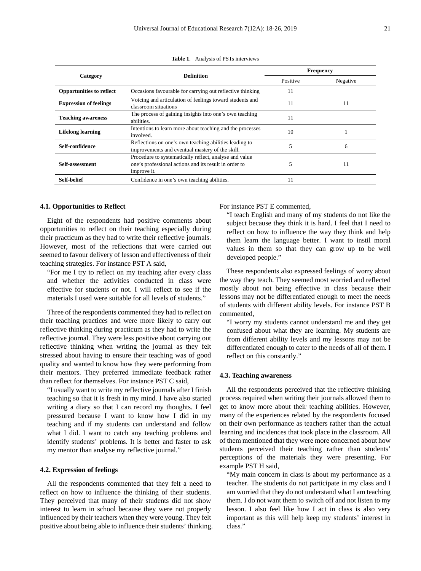|                                 | <b>Definition</b>                                                                                                              | <b>Frequency</b> |          |
|---------------------------------|--------------------------------------------------------------------------------------------------------------------------------|------------------|----------|
| Category                        |                                                                                                                                | Positive         | Negative |
| <b>Opportunities to reflect</b> | Occasions favourable for carrying out reflective thinking                                                                      | 11               |          |
| <b>Expression of feelings</b>   | Voicing and articulation of feelings toward students and<br>classroom situations                                               | 11               | 11       |
| <b>Teaching awareness</b>       | The process of gaining insights into one's own teaching<br>abilities.                                                          | 11               |          |
| <b>Lifelong learning</b>        | Intentions to learn more about teaching and the processes<br>involved.                                                         | 10               |          |
| Self-confidence                 | Reflections on one's own teaching abilities leading to<br>improvements and eventual mastery of the skill.                      |                  | 6        |
| Self-assessment                 | Procedure to systematically reflect, analyse and value<br>one's professional actions and its result in order to<br>improve it. |                  | 11       |
| Self-belief                     | Confidence in one's own teaching abilities.                                                                                    |                  |          |

**Table 1**. Analysis of PSTs interviews

#### **4.1. Opportunities to Reflect**

Eight of the respondents had positive comments about opportunities to reflect on their teaching especially during their practicum as they had to write their reflective journals. However, most of the reflections that were carried out seemed to favour delivery of lesson and effectiveness of their teaching strategies. For instance PST A said,

"For me I try to reflect on my teaching after every class and whether the activities conducted in class were effective for students or not. I will reflect to see if the materials I used were suitable for all levels of students."

Three of the respondents commented they had to reflect on their teaching practices and were more likely to carry out reflective thinking during practicum as they had to write the reflective journal. They were less positive about carrying out reflective thinking when writing the journal as they felt stressed about having to ensure their teaching was of good quality and wanted to know how they were performing from their mentors. They preferred immediate feedback rather than reflect for themselves. For instance PST C said,

"I usually want to write my reflective journals after I finish teaching so that it is fresh in my mind. I have also started writing a diary so that I can record my thoughts. I feel pressured because I want to know how I did in my teaching and if my students can understand and follow what I did. I want to catch any teaching problems and identify students' problems. It is better and faster to ask my mentor than analyse my reflective journal."

#### **4.2. Expression of feelings**

All the respondents commented that they felt a need to reflect on how to influence the thinking of their students. They perceived that many of their students did not show interest to learn in school because they were not properly influenced by their teachers when they were young. They felt positive about being able to influence their students' thinking. For instance PST E commented,

"I teach English and many of my students do not like the subject because they think it is hard. I feel that I need to reflect on how to influence the way they think and help them learn the language better. I want to instil moral values in them so that they can grow up to be well developed people."

These respondents also expressed feelings of worry about the way they teach. They seemed most worried and reflected mostly about not being effective in class because their lessons may not be differentiated enough to meet the needs of students with different ability levels. For instance PST B commented,

"I worry my students cannot understand me and they get confused about what they are learning. My students are from different ability levels and my lessons may not be differentiated enough to cater to the needs of all of them. I reflect on this constantly."

## **4.3. Teaching awareness**

All the respondents perceived that the reflective thinking process required when writing their journals allowed them to get to know more about their teaching abilities. However, many of the experiences related by the respondents focused on their own performance as teachers rather than the actual learning and incidences that took place in the classroom. All of them mentioned that they were more concerned about how students perceived their teaching rather than students' perceptions of the materials they were presenting. For example PST H said,

"My main concern in class is about my performance as a teacher. The students do not participate in my class and I am worried that they do not understand what I am teaching them. I do not want them to switch off and not listen to my lesson. I also feel like how I act in class is also very important as this will help keep my students' interest in class."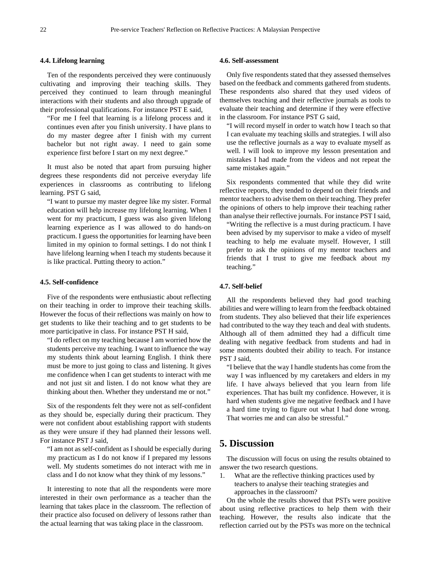## **4.4. Lifelong learning**

Ten of the respondents perceived they were continuously cultivating and improving their teaching skills. They perceived they continued to learn through meaningful interactions with their students and also through upgrade of their professional qualifications. For instance PST E said,

"For me I feel that learning is a lifelong process and it continues even after you finish university. I have plans to do my master degree after I finish with my current bachelor but not right away. I need to gain some experience first before I start on my next degree."

It must also be noted that apart from pursuing higher degrees these respondents did not perceive everyday life experiences in classrooms as contributing to lifelong learning. PST G said,

"I want to pursue my master degree like my sister. Formal education will help increase my lifelong learning. When I went for my practicum, I guess was also given lifelong learning experience as I was allowed to do hands-on practicum. I guess the opportunities for learning have been limited in my opinion to formal settings. I do not think I have lifelong learning when I teach my students because it is like practical. Putting theory to action."

## **4.5. Self-confidence**

Five of the respondents were enthusiastic about reflecting on their teaching in order to improve their teaching skills. However the focus of their reflections was mainly on how to get students to like their teaching and to get students to be more participative in class. For instance PST H said,

"I do reflect on my teaching because I am worried how the students perceive my teaching. I want to influence the way my students think about learning English. I think there must be more to just going to class and listening. It gives me confidence when I can get students to interact with me and not just sit and listen. I do not know what they are thinking about then. Whether they understand me or not."

Six of the respondents felt they were not as self-confident as they should be, especially during their practicum. They were not confident about establishing rapport with students as they were unsure if they had planned their lessons well. For instance PST J said,

"I am not as self-confident as I should be especially during my practicum as I do not know if I prepared my lessons well. My students sometimes do not interact with me in class and I do not know what they think of my lessons."

It interesting to note that all the respondents were more interested in their own performance as a teacher than the learning that takes place in the classroom. The reflection of their practice also focused on delivery of lessons rather than the actual learning that was taking place in the classroom.

### **4.6. Self-assessment**

Only five respondents stated that they assessed themselves based on the feedback and comments gathered from students. These respondents also shared that they used videos of themselves teaching and their reflective journals as tools to evaluate their teaching and determine if they were effective in the classroom. For instance PST G said,

"I will record myself in order to watch how I teach so that I can evaluate my teaching skills and strategies. I will also use the reflective journals as a way to evaluate myself as well. I will look to improve my lesson presentation and mistakes I had made from the videos and not repeat the same mistakes again."

Six respondents commented that while they did write reflective reports, they tended to depend on their friends and mentor teachers to advise them on their teaching. They prefer the opinions of others to help improve their teaching rather than analyse their reflective journals. For instance PST I said,

"Writing the reflective is a must during practicum. I have been advised by my supervisor to make a video of myself teaching to help me evaluate myself. However, I still prefer to ask the opinions of my mentor teachers and friends that I trust to give me feedback about my teaching."

## **4.7. Self-belief**

All the respondents believed they had good teaching abilities and were willing to learn from the feedback obtained from students. They also believed that their life experiences had contributed to the way they teach and deal with students. Although all of them admitted they had a difficult time dealing with negative feedback from students and had in some moments doubted their ability to teach. For instance PST J said,

"I believe that the way I handle students has come from the way I was influenced by my caretakers and elders in my life. I have always believed that you learn from life experiences. That has built my confidence. However, it is hard when students give me negative feedback and I have a hard time trying to figure out what I had done wrong. That worries me and can also be stressful."

# **5. Discussion**

The discussion will focus on using the results obtained to answer the two research questions.

1. What are the reflective thinking practices used by teachers to analyse their teaching strategies and approaches in the classroom?

On the whole the results showed that PSTs were positive about using reflective practices to help them with their teaching. However, the results also indicate that the reflection carried out by the PSTs was more on the technical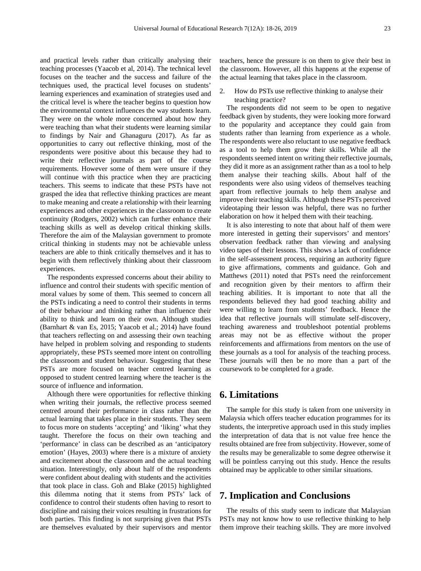and practical levels rather than critically analysing their teaching processes (Yaacob et al, 2014). The technical level focuses on the teacher and the success and failure of the techniques used, the practical level focuses on students' learning experiences and examination of strategies used and the critical level is where the teacher begins to question how the environmental context influences the way students learn. They were on the whole more concerned about how they were teaching than what their students were learning similar to findings by Nair and Ghanaguru (2017). As far as opportunities to carry out reflective thinking, most of the respondents were positive about this because they had to write their reflective journals as part of the course requirements. However some of them were unsure if they will continue with this practice when they are practicing teachers. This seems to indicate that these PSTs have not grasped the idea that reflective thinking practices are meant to make meaning and create a relationship with their learning experiences and other experiences in the classroom to create continuity (Rodgers, 2002) which can further enhance their teaching skills as well as develop critical thinking skills. Therefore the aim of the Malaysian government to promote critical thinking in students may not be achievable unless teachers are able to think critically themselves and it has to begin with them reflectively thinking about their classroom experiences.

The respondents expressed concerns about their ability to influence and control their students with specific mention of moral values by some of them. This seemed to concern all the PSTs indicating a need to control their students in terms of their behaviour and thinking rather than influence their ability to think and learn on their own. Although studies (Barnhart & van Es, 2015; Yaacob et al.; 2014) have found that teachers reflecting on and assessing their own teaching have helped in problem solving and responding to students appropriately, these PSTs seemed more intent on controlling the classroom and student behaviour. Suggesting that these PSTs are more focused on teacher centred learning as opposed to student centred learning where the teacher is the source of influence and information.

Although there were opportunities for reflective thinking when writing their journals, the reflective process seemed centred around their performance in class rather than the actual learning that takes place in their students. They seem to focus more on students 'accepting' and 'liking' what they taught. Therefore the focus on their own teaching and 'performance' in class can be described as an 'anticipatory emotion' (Hayes, 2003) where there is a mixture of anxiety and excitement about the classroom and the actual teaching situation. Interestingly, only about half of the respondents were confident about dealing with students and the activities that took place in class. Goh and Blake (2015) highlighted this dilemma noting that it stems from PSTs' lack of confidence to control their students often having to resort to discipline and raising their voices resulting in frustrations for both parties. This finding is not surprising given that PSTs are themselves evaluated by their supervisors and mentor

teachers, hence the pressure is on them to give their best in the classroom. However, all this happens at the expense of the actual learning that takes place in the classroom.

2. How do PSTs use reflective thinking to analyse their teaching practice?

The respondents did not seem to be open to negative feedback given by students, they were looking more forward to the popularity and acceptance they could gain from students rather than learning from experience as a whole. The respondents were also reluctant to use negative feedback as a tool to help them grow their skills. While all the respondents seemed intent on writing their reflective journals, they did it more as an assignment rather than as a tool to help them analyse their teaching skills. About half of the respondents were also using videos of themselves teaching apart from reflective journals to help them analyse and improve their teaching skills. Although these PSTs perceived videotaping their lesson was helpful, there was no further elaboration on how it helped them with their teaching.

It is also interesting to note that about half of them were more interested in getting their supervisors' and mentors' observation feedback rather than viewing and analysing video tapes of their lessons. This shows a lack of confidence in the self-assessment process, requiring an authority figure to give affirmations, comments and guidance. Goh and Matthews (2011) noted that PSTs need the reinforcement and recognition given by their mentors to affirm their teaching abilities. It is important to note that all the respondents believed they had good teaching ability and were willing to learn from students' feedback. Hence the idea that reflective journals will stimulate self-discovery, teaching awareness and troubleshoot potential problems areas may not be as effective without the proper reinforcements and affirmations from mentors on the use of these journals as a tool for analysis of the teaching process. These journals will then be no more than a part of the coursework to be completed for a grade.

## **6. Limitations**

The sample for this study is taken from one university in Malaysia which offers teacher education programmes for its students, the interpretive approach used in this study implies the interpretation of data that is not value free hence the results obtained are free from subjectivity. However, some of the results may be generalizable to some degree otherwise it will be pointless carrying out this study. Hence the results obtained may be applicable to other similar situations.

# **7. Implication and Conclusions**

The results of this study seem to indicate that Malaysian PSTs may not know how to use reflective thinking to help them improve their teaching skills. They are more involved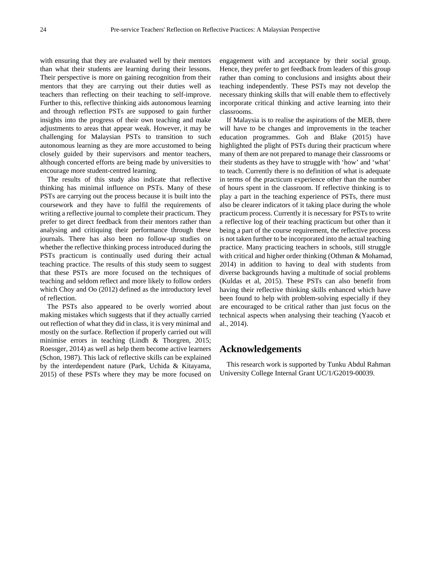with ensuring that they are evaluated well by their mentors than what their students are learning during their lessons. Their perspective is more on gaining recognition from their mentors that they are carrying out their duties well as teachers than reflecting on their teaching to self-improve. Further to this, reflective thinking aids autonomous learning and through reflection PSTs are supposed to gain further insights into the progress of their own teaching and make adjustments to areas that appear weak. However, it may be challenging for Malaysian PSTs to transition to such autonomous learning as they are more accustomed to being closely guided by their supervisors and mentor teachers, although concerted efforts are being made by universities to encourage more student-centred learning.

The results of this study also indicate that reflective thinking has minimal influence on PSTs. Many of these PSTs are carrying out the process because it is built into the coursework and they have to fulfil the requirements of writing a reflective journal to complete their practicum. They prefer to get direct feedback from their mentors rather than analysing and critiquing their performance through these journals. There has also been no follow-up studies on whether the reflective thinking process introduced during the PSTs practicum is continually used during their actual teaching practice. The results of this study seem to suggest that these PSTs are more focused on the techniques of teaching and seldom reflect and more likely to follow orders which Choy and Oo (2012) defined as the introductory level of reflection.

The PSTs also appeared to be overly worried about making mistakes which suggests that if they actually carried out reflection of what they did in class, it is very minimal and mostly on the surface. Reflection if properly carried out will minimise errors in teaching (Lindh & Thorgren, 2015; Roessger, 2014) as well as help them become active learners (Schon, 1987). This lack of reflective skills can be explained by the interdependent nature (Park, Uchida & Kitayama, 2015) of these PSTs where they may be more focused on

engagement with and acceptance by their social group. Hence, they prefer to get feedback from leaders of this group rather than coming to conclusions and insights about their teaching independently. These PSTs may not develop the necessary thinking skills that will enable them to effectively incorporate critical thinking and active learning into their classrooms.

If Malaysia is to realise the aspirations of the MEB, there will have to be changes and improvements in the teacher education programmes. Goh and Blake (2015) have highlighted the plight of PSTs during their practicum where many of them are not prepared to manage their classrooms or their students as they have to struggle with 'how' and 'what' to teach. Currently there is no definition of what is adequate in terms of the practicum experience other than the number of hours spent in the classroom. If reflective thinking is to play a part in the teaching experience of PSTs, there must also be clearer indicators of it taking place during the whole practicum process. Currently it is necessary for PSTs to write a reflective log of their teaching practicum but other than it being a part of the course requirement, the reflective process is not taken further to be incorporated into the actual teaching practice. Many practicing teachers in schools, still struggle with critical and higher order thinking (Othman & Mohamad, 2014) in addition to having to deal with students from diverse backgrounds having a multitude of social problems (Kuldas et al, 2015). These PSTs can also benefit from having their reflective thinking skills enhanced which have been found to help with problem-solving especially if they are encouraged to be critical rather than just focus on the technical aspects when analysing their teaching (Yaacob et al., 2014).

# **Acknowledgements**

This research work is supported by Tunku Abdul Rahman University College Internal Grant UC/1/G2019-00039.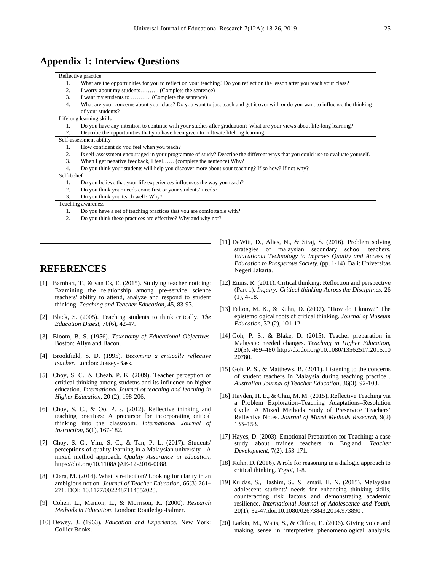# **Appendix 1: Interview Questions**

#### Reflective practice

- 1. What are the opportunities for you to reflect on your teaching? Do you reflect on the lesson after you teach your class?
- 2. I worry about my students………. (Complete the sentence)<br>3. I want my students to ………. (Complete the sentence)
- I want my students to ……….. (Complete the sentence)
- 4. What are your concerns about your class? Do you want to just teach and get it over with or do you want to influence the thinking of your students?

#### Lifelong learning skills

1. Do you have any intention to continue with your studies after graduation? What are your views about life-long learning? 2. Describe the opportunities that you have been given to cultivate lifelong learning.

#### Self-assessment ability

- 1. How confident do you feel when you teach?
- 2. Is self-assessment encouraged in your programme of study? Describe the different ways that you could use to evaluate yourself.
- 3. When I get negative feedback, I feel…… (complete the sentence) Why?<br>4 Do you think your students will help you discover more about your teach
- 4. Do you think your students will help you discover more about your teaching? If so how? If not why?

#### Self-belief

|                    | <b>DUIL DUILUL</b> |                                                                         |  |
|--------------------|--------------------|-------------------------------------------------------------------------|--|
|                    |                    | Do you believe that your life experiences influences the way you teach? |  |
|                    | 2.                 | Do you think your needs come first or your students' needs?             |  |
|                    | 3.                 | Do you think you teach well? Why?                                       |  |
| Teaching awareness |                    |                                                                         |  |
|                    |                    | Do you have a set of teaching practices that you are comfortable with?  |  |
|                    |                    | Do you think these practices are effective? Why and why not?            |  |
|                    |                    |                                                                         |  |

## **REFERENCES**

- [1] Barnhart, T., & van Es, E. (2015). Studying teacher noticing: Examining the relationship among pre-service science teachers' ability to attend, analyze and respond to student thinking. *Teaching and Teacher Education*, 45, 83-93.
- [2] Black, S. (2005). Teaching students to think critcally. *The Education Digest*, 70(6), 42-47.
- [3] Bloom, B. S. (1956). *Taxonomy of Educational Objectives.* Boston: Allyn and Bacon.
- [4] Brookfield, S. D. (1995). *Becoming a critically reflective teacher.* London: Jossey-Bass.
- [5] Choy, S. C., & Cheah, P. K. (2009). Teacher perception of crtitical thinking among studetns and its influence on higher education. *International Journal of teaching and learning in Higher Education*, 20 (2), 198-206.
- [6] Choy, S. C., & Oo, P. s. (2012). Reflective thinking and teaching practices: A precursor for incorporating critical thinking into the classroom. *International Journal of Instruction*, 5(1), 167-182.
- [7] Choy, S. C., Yim, S. C., & Tan, P. L. (2017). Students' perceptions of quality learning in a Malaysian university - A mixed method approach. *Quality Assurance in education*, https://doi.org/10.1108/QAE-12-2016-0088.
- [8] Clara, M. (2014). What is reflection? Looking for clarity in an ambigious notion. *Journal of Teacher Education*, 66(3) 261– 271. DOI: 10.1177/0022487114552028.
- [9] Cohen, L., Manion, L., & Morrison, K. (2000). *Research Methods in Education.* London: Routledge-Falmer.
- [10] Dewey, J. (1963). *Education and Experience.* New York: Collier Books.
- [11] DeWitt, D., Alias, N., & Siraj, S. (2016). Problem solving strategies of malaysian secondary school teachers. *Educational Technology to Improve Quality and Access of Education to Prosperous Society.* (pp. 1-14). Bali: Universitas Negeri Jakarta.
- [12] Ennis, R. (2011). Critical thinking: Reflection and perspective (Part 1). *Inquiry: Critical thinking Across the Disciplines*, 26 (1), 4-18.
- [13] Felton, M. K., & Kuhn, D. (2007). "How do I know?" The epistemological roots of critical thinking. *Journal of Museum Education*, 32 (2), 101-12.
- [14] Goh, P. S., & Blake, D. (2015). Teacher preparation in Malaysia: needed changes. *Teaching in Higher Education*, 20(5), 469–480.http://dx.doi.org/10.1080/13562517.2015.10 20780.
- [15] Goh, P. S., & Matthews, B. (2011). Listening to the concerns of student teachers In Malaysia during teaching practice . *Australian Journal of Teacher Education*, 36(3), 92-103.
- [16] Hayden, H. E., & Chiu, M. M. (2015). Reflective Teaching via a Problem Exploration–Teaching Adaptations–Resolution Cycle: A Mixed Methods Study of Preservice Teachers' Reflective Notes. *Journal of Mixed Methods Research*, 9(2) 133–153.
- [17] Hayes, D. (2003). Emotional Preparation for Teaching: a case study about trainee teachers in England. *Teacher Development*, 7(2), 153-171.
- [18] Kuhn, D. (2016). A role for reasoning in a dialogic approach to critical thinking. *Topoi*, 1-8.
- [19] Kuldas, S., Hashim, S., & Ismail, H. N. (2015). Malaysian adolescent students' needs for enhancing thinking skills, counteracting risk factors and demonstrating academic resilience. *International Journal of Adolescence and Youth*, 20(1), 32-47.doi:10.1080/02673843.2014.973890 .
- [20] Larkin, M., Watts, S., & Clifton, E. (2006). Giving voice and making sense in interpretive phenomenological analysis.